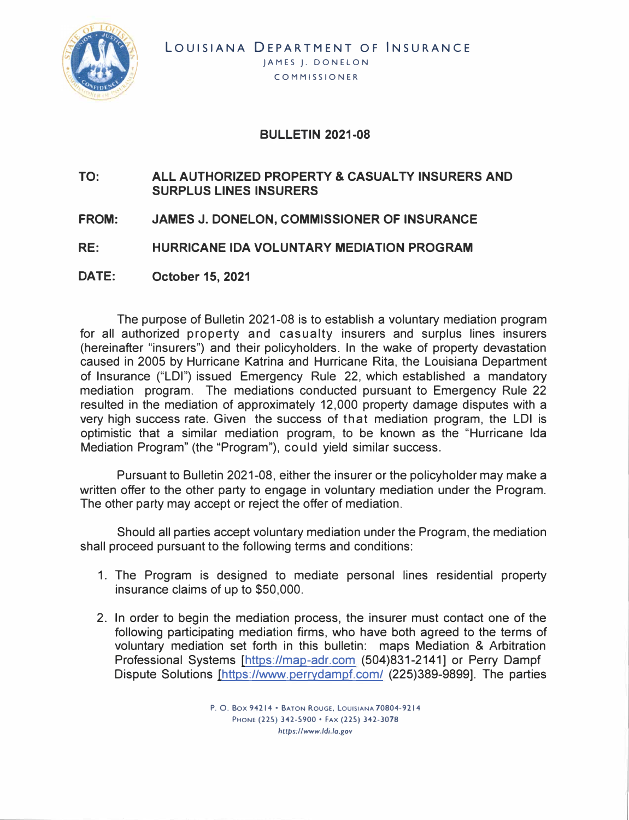

## **BULLETIN 2021-08**

## **TO: ALL AUTHORIZED PROPERTY & CASUALTY INSURERS AND SURPLUS LINES INSURERS**

- **FROM: JAMES J. DONELON, COMMISSIONER OF INSURANCE**
- **RE: HURRICANE IDA VOLUNTARY MEDIATION PROGRAM**
- **DATE: October 15, 2021**

The purpose of Bulletin 2021-08 is to establish a voluntary mediation program for all authorized property and casualty insurers and surplus lines insurers (hereinafter "insurers") and their policyholders. In the wake of property devastation caused in 2005 by Hurricane Katrina and Hurricane Rita, the Louisiana Department of Insurance ("LOI") issued Emergency Rule 22, which established a mandatory mediation program. The mediations conducted pursuant to Emergency Rule 22 resulted in the mediation of approximately 12,000 property damage disputes with a very high success rate. Given the success of that mediation program, the LOI is optimistic that a similar mediation program, to be known as the "Hurricane Ida Mediation Program" (the "Program"), could yield similar success.

Pursuant to Bulletin 2021-08, either the insurer or the policyholder may make a written offer to the other party to engage in voluntary mediation under the Program. The other party may accept or reject the offer of mediation.

Should all parties accept voluntary mediation under the Program, the mediation shall proceed pursuant to the following terms and conditions:

- 1. The Program is designed to mediate personal lines residential property insurance claims of up to \$50,000.
- 2. In order to begin the mediation process, the insurer must contact one of the following participating mediation firms, who have both agreed to the terms of voluntary mediation set forth in this bulletin: maps Mediation & Arbitration Professional Systems [https://map-adr.com (504)831-2141] or Perry Dampf Dispute Solutions [https://www.perrydampf.com/ (225)389-9899]. The parties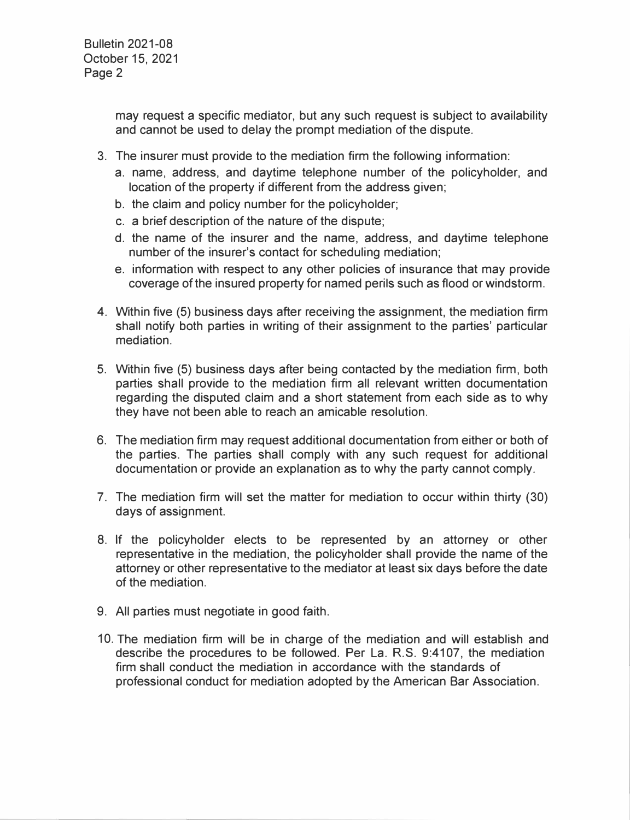may request a specific mediator, but any such request is subject to availability and cannot be used to delay the prompt mediation of the dispute.

- 3. The insurer must provide to the mediation firm the following information:
	- a. name, address, and daytime telephone number of the policyholder, and location of the property if different from the address given;
	- b. the claim and policy number for the policyholder;
	- c. a brief description of the nature of the dispute;
	- d. the name of the insurer and the name, address, and daytime telephone number of the insurer's contact for scheduling mediation;
	- e. information with respect to any other policies of insurance that may provide coverage of the insured property for named perils such as flood or windstorm.
- 4. Within five (5) business days after receiving the assignment, the mediation firm shall notify both parties in writing of their assignment to the parties' particular mediation.
- 5. Within five (5) business days after being contacted by the mediation firm, both parties shall provide to the mediation firm all relevant written documentation regarding the disputed claim and a short statement from each side as to why they have not been able to reach an amicable resolution.
- 6. The mediation firm may request additional documentation from either or both of the parties. The parties shall comply with any such request for additional documentation or provide an explanation as to why the party cannot comply.
- 7. The mediation firm will set the matter for mediation to occur within thirty (30) days of assignment.
- 8. If the policyholder elects to be represented by an attorney or other representative in the mediation, the policyholder shall provide the name of the attorney or other representative to the mediator at least six days before the date of the mediation.
- 9. All parties must negotiate in good faith.
- 10. The mediation firm will be in charge of the mediation and will establish and describe the procedures to be followed. Per La. R.S. 9:4107, the mediation firm shall conduct the mediation in accordance with the standards of professional conduct for mediation adopted by the American Bar Association.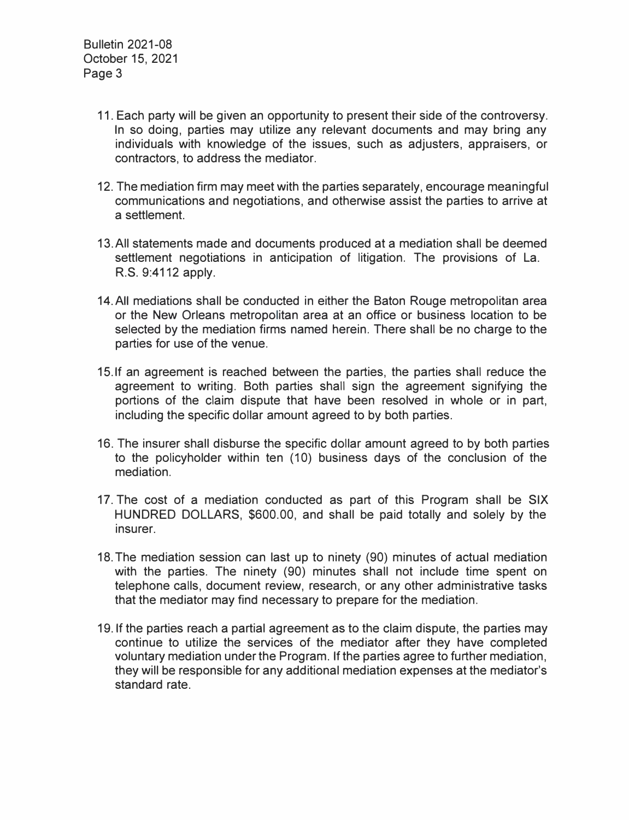- 11. Each party will be given an opportunity to present their side of the controversy. In so doing, parties may utilize any relevant documents and may bring any individuals with knowledge of the issues, such as adjusters, appraisers, or contractors, to address the mediator.
- 12. The mediation firm may meet with the parties separately, encourage meaningful communications and negotiations, and otherwise assist the parties to arrive at a settlement.
- 13.All statements made and documents produced at a mediation shall be deemed settlement negotiations in anticipation of litigation. The provisions of La. R.S. 9:4112 apply.
- 14.AII mediations shall be conducted in either the Baton Rouge metropolitan area or the New Orleans metropolitan area at an office or business location to be selected by the mediation firms named herein. There shall be no charge to the parties for use of the venue.
- 15.If an agreement is reached between the parties, the parties shall reduce the agreement to writing. Both parties shall sign the agreement signifying the portions of the claim dispute that have been resolved in whole or in part, including the specific dollar amount agreed to by both parties.
- 16. The insurer shall disburse the specific dollar amount agreed to by both parties to the policyholder within ten (10) business days of the conclusion of the mediation.
- 17. The cost of a mediation conducted as part of this Program shall be SIX HUNDRED DOLLARS, \$600.00, and shall be paid totally and solely by the insurer.
- 18.The mediation session can last up to ninety (90) minutes of actual mediation with the parties. The ninety (90) minutes shall not include time spent on telephone calls, document review, research, or any other administrative tasks that the mediator may find necessary to prepare for the mediation.
- 19. If the parties reach a partial agreement as to the claim dispute, the parties may continue to utilize the services of the mediator after they have completed voluntary mediation under the Program. If the parties agree to further mediation, they will be responsible for any additional mediation expenses at the mediator's standard rate.